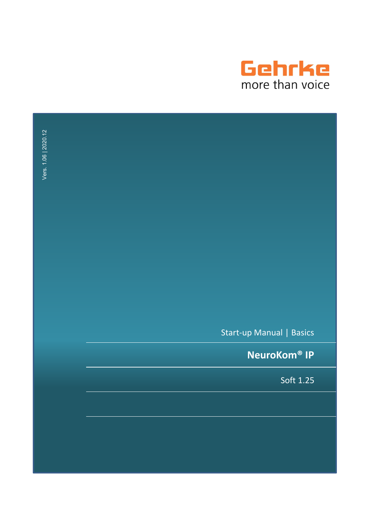

| Vers. 1.06   2020.12 |                                |  |
|----------------------|--------------------------------|--|
|                      |                                |  |
|                      |                                |  |
|                      |                                |  |
|                      |                                |  |
|                      |                                |  |
|                      |                                |  |
|                      | Start-up Manual   Basics       |  |
|                      | <b>NeuroKom<sup>®</sup> IP</b> |  |
|                      | Soft 1.25                      |  |
|                      |                                |  |
|                      |                                |  |
|                      |                                |  |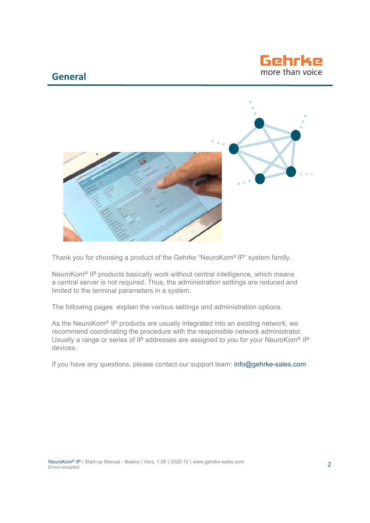## **General**





Thank you for choosing a product of the Gehrke "NeuroKom® IP" system family.

NeuroKom® IP products basically work without central intelligence, which means a central server is not required. Thus, the administration settings are reduced and limited to the terminal parameters in a system.

The following pages explain the various settings and administration options.

As the NeuroKom<sup>®</sup> IP products are usually integrated into an existing network, we recommend coordinating the procedure with the responsible network administrator. Usually a range or series of IP addresses are assigned to you for your NeuroKom® IP devices.

If you have any questions, please contact our support team: info@gehrke-sales.com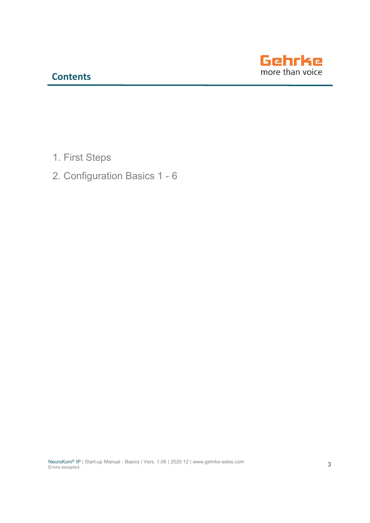

- 1. First Steps
- 2. Configuration Basics 1 6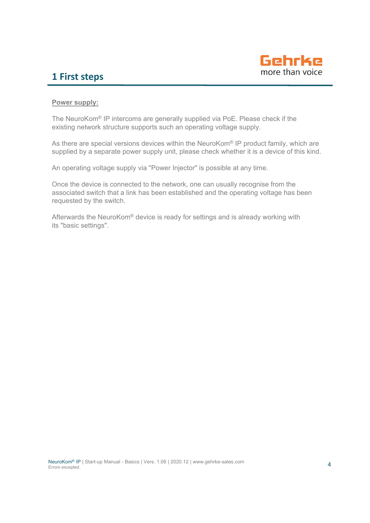

# **1 First steps**

### **Power supply:**

The NeuroKom® IP intercoms are generally supplied via PoE. Please check if the existing network structure supports such an operating voltage supply.

As there are special versions devices within the NeuroKom® IP product family, which are supplied by a separate power supply unit, please check whether it is a device of this kind.

An operating voltage supply via "Power Injector" is possible at any time.

Once the device is connected to the network, one can usually recognise from the associated switch that a link has been established and the operating voltage has been requested by the switch.

Afterwards the NeuroKom® device is ready for settings and is already working with its "basic settings".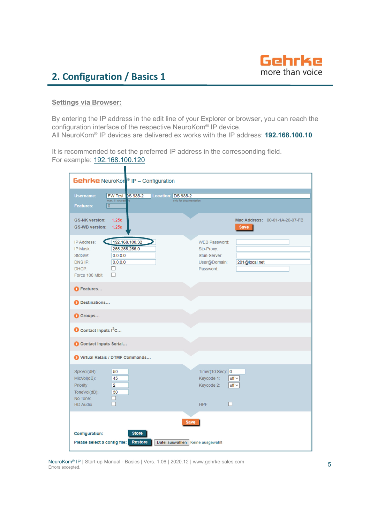

 $\blacksquare$ 

### **Settings via Browser:**

By entering the IP address in the edit line of your Explorer or browser, you can reach the configuration interface of the respective NeuroKom® IP device. All NeuroKom® IP devices are delivered ex works with the IP address: **192.168.100.10**

It is recommended to set the preferred IP address in the corresponding field. For example: 192.168.100.120

| <b>Gehrke</b> NeuroKon <sup>®</sup> IP - Configuration                                                                                                |                                                                                                  |  |
|-------------------------------------------------------------------------------------------------------------------------------------------------------|--------------------------------------------------------------------------------------------------|--|
| <b>Username:</b><br>FW Test DS 935-2<br>Location: DS 935-2<br>max. 11 charact<br>only for documentation<br>$\overline{0}$<br>Features:                |                                                                                                  |  |
| <b>GS-NK version:</b><br>1.25d<br>GS-WB version: 1.25a                                                                                                | Mac Address: 00-01-1A-20-07-FB<br><b>Save</b>                                                    |  |
| 192.168.100.32<br>IP Address:<br>255.255.255.0<br>IP Mask:<br>0.0.0.0<br>StdGW:<br>DNS IP:<br>0.0.0.0<br>DHCP:<br>$\mathsf{L}$<br>Force 100 Mbit<br>п | <b>WEB Password:</b><br>Sip-Proxy:<br>Stun-Server:<br>User@Domain:<br>201@local.net<br>Password: |  |
| <b>D</b> Features                                                                                                                                     |                                                                                                  |  |
| Destinations                                                                                                                                          |                                                                                                  |  |
| Groups                                                                                                                                                |                                                                                                  |  |
| Contact Inputs I <sup>2</sup> C                                                                                                                       |                                                                                                  |  |
| Contact Inputs Serial                                                                                                                                 |                                                                                                  |  |
| Virtual Relais / DTMF Commands                                                                                                                        |                                                                                                  |  |
| SpkVol(dB):<br>50<br>MicVol(dB):<br>45<br>Priority<br>$\overline{2}$<br>ToneVol(dB):<br>30<br>No Tone:<br>D<br>п<br><b>HD Audio</b>                   | Timer(10 Sec): 0<br>Keycode 1:<br>$off \vee$<br>Keycode 2:<br>$off \vee$<br>п<br><b>HPF</b>      |  |
| <b>Save</b><br><b>Configuration:</b><br><b>Store</b><br><b>Restore</b><br>Please select a config file:<br>Datei auswählen   Keine ausgewählt          |                                                                                                  |  |

NeuroKom® IP | Start-up Manual - Basics | Vers. 1.06 | 2020.12 | www.gehrke-sales.com Errors excepted.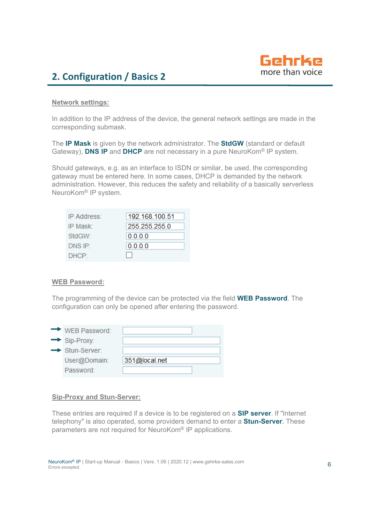

### **Network settings:**

In addition to the IP address of the device, the general network settings are made in the corresponding submask.

The **IP Mask** is given by the network administrator. The **StdGW** (standard or default Gateway), **DNS IP** and **DHCP** are not necessary in a pure NeuroKom® IP system.

Should gateways, e.g. as an interface to ISDN or similar, be used, the corresponding gateway must be entered here. In some cases, DHCP is demanded by the network administration. However, this reduces the safety and reliability of a basically serverless NeuroKom® IP system.

| IP Address:         | 192.168.100.51 |
|---------------------|----------------|
| IP Mask:            | 255.255.255.0  |
| StdGW:              | 0.0.0.0        |
| DNS IP <sup>-</sup> | 0.0.0.0        |
| DHCP:               |                |

### **WEB Password:**

The programming of the device can be protected via the field **WEB Password**. The configuration can only be opened after entering the password.

| $\rightarrow$ WEB Password: |               |
|-----------------------------|---------------|
| $\rightarrow$ Sip-Proxy:    |               |
| $\rightarrow$ Stun-Server:  |               |
| User@Domain:                | 351@local.net |
| Password:                   |               |

### **Sip-Proxy and Stun-Server:**

These entries are required if a device is to be registered on a **SIP server**. If "Internet telephony" is also operated, some providers demand to enter a **Stun-Server**. These parameters are not required for NeuroKom® IP applications.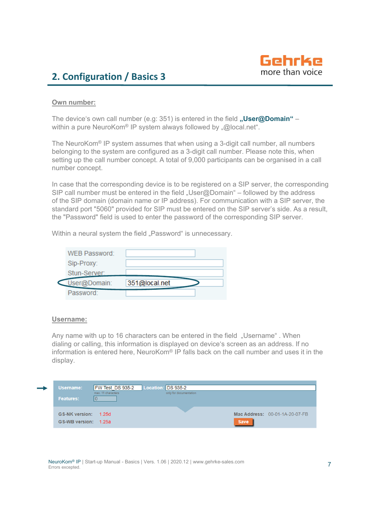

### **Own number:**

The device's own call number (e.g: 351) is entered in the field "User@Domain" within a pure NeuroKom<sup>®</sup> IP system always followed by "@local.net".

The NeuroKom® IP system assumes that when using a 3-digit call number, all numbers belonging to the system are configured as a 3-digit call number. Please note this, when setting up the call number concept. A total of 9,000 participants can be organised in a call number concept.

In case that the corresponding device is to be registered on a SIP server, the corresponding SIP call number must be entered in the field "User@Domain" – followed by the address of the SIP domain (domain name or IP address). For communication with a SIP server, the standard port "5060" provided for SIP must be entered on the SIP server's side. As a result, the "Password" field is used to enter the password of the corresponding SIP server.

Within a neural system the field "Password" is unnecessary.

| <b>WEB Password:</b> |               |  |
|----------------------|---------------|--|
| Sip-Proxy:           |               |  |
| Stun-Server:         |               |  |
| User@Domain:         | 351@local.net |  |
| Password:            |               |  |

### **Username:**

Any name with up to 16 characters can be entered in the field "Username". When dialing or calling, this information is displayed on device's screen as an address. If no information is entered here, NeuroKom® IP falls back on the call number and uses it in the display.

| Username:<br><b>Features:</b>                | FW Test DS 935-2<br>max. 11 characters | Location: DS 935-2<br>only for documentation |                                               |
|----------------------------------------------|----------------------------------------|----------------------------------------------|-----------------------------------------------|
| GS-NK version: 1.25d<br>GS-WB version: 1.25a |                                        |                                              | Mac Address: 00-01-1A-20-07-FB<br><b>Save</b> |

NeuroKom® IP | Start-up Manual - Basics | Vers. 1.06 | 2020.12 | www.gehrke-sales.com Errors excepted.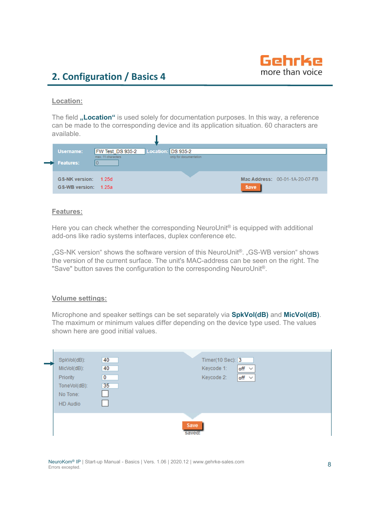

### **Location:**

The field "Location" is used solely for documentation purposes. In this way, a reference can be made to the corresponding device and its application situation. 60 characters are available. T

| Username:               | FW Test DS 935-2   | Location: DS 935-2     |                                |
|-------------------------|--------------------|------------------------|--------------------------------|
|                         | max. 11 characters | only for documentation |                                |
| $\Rightarrow$ Features: |                    |                        |                                |
|                         |                    |                        |                                |
|                         |                    |                        |                                |
| GS-NK version: 1.25d    |                    |                        | Mac Address: 00-01-1A-20-07-FB |
| GS-WB version: 1.25a    |                    |                        | <b>Save</b>                    |
|                         |                    |                        |                                |

### **Features:**

Here you can check whether the corresponding NeuroUnit<sup>®</sup> is equipped with additional add-ons like radio systems interfaces, duplex conference etc.

"GS-NK version" shows the software version of this NeuroUnit®. "GS-WB version" shows the version of the current surface. The unit's MAC-address can be seen on the right. The "Save" button saves the configuration to the corresponding NeuroUnit®.

### **Volume settings:**

Microphone and speaker settings can be set separately via **SpkVol(dB)** and **MicVol(dB)**. The maximum or minimum values differ depending on the device type used. The values shown here are good initial values.

| 40<br>SpkVol(dB):                   | Timer(10 Sec): 3         |
|-------------------------------------|--------------------------|
| 40<br>MicVol(dB):                   | Keycode 1:<br>off $\sim$ |
| $\overline{\mathbf{0}}$<br>Priority | off $\sim$<br>Keycode 2: |
| 35<br>ToneVol(dB):                  |                          |
| No Tone:                            |                          |
| HD Audio                            |                          |
|                                     |                          |
|                                     | Save                     |
|                                     | saved!                   |

NeuroKom® IP | Start-up Manual - Basics | Vers. 1.06 | 2020.12 | www.gehrke-sales.com Errors excepted.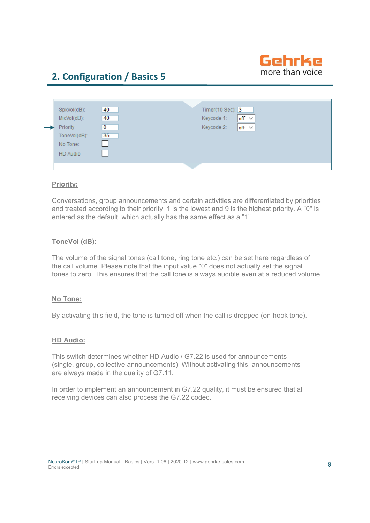

| No Tone:<br><b>HD</b> Audio |
|-----------------------------|
|-----------------------------|

### **Priority:**

Conversations, group announcements and certain activities are differentiated by priorities and treated according to their priority. 1 is the lowest and 9 is the highest priority. A "0" is entered as the default, which actually has the same effect as a "1".

### **ToneVol (dB):**

The volume of the signal tones (call tone, ring tone etc.) can be set here regardless of the call volume. Please note that the input value "0" does not actually set the signal tones to zero. This ensures that the call tone is always audible even at a reduced volume.

### **No Tone:**

By activating this field, the tone is turned off when the call is dropped (on-hook tone).

### **HD Audio:**

This switch determines whether HD Audio / G7.22 is used for announcements (single, group, collective announcements). Without activating this, announcements are always made in the quality of G7.11.

In order to implement an announcement in G7.22 quality, it must be ensured that all receiving devices can also process the G7.22 codec.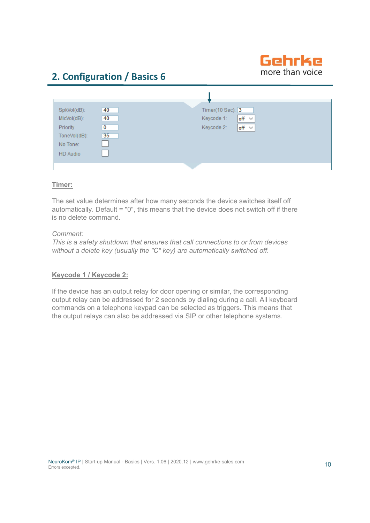

| SpkVol(dB):<br>MicVol(dB):                       | 40<br>40                      | Timer(10 Sec): 3<br>$off \sim$<br>Keycode 1: |
|--------------------------------------------------|-------------------------------|----------------------------------------------|
| Priority<br>ToneVol(dB):<br>No Tone:<br>HD Audio | $\overline{\mathbf{0}}$<br>35 | Keycode 2:<br>$off \times$                   |
|                                                  |                               |                                              |

### **Timer:**

The set value determines after how many seconds the device switches itself off automatically. Default = "0", this means that the device does not switch off if there is no delete command.

### *Comment:*

*This is a safety shutdown that ensures that call connections to or from devices without a delete key (usually the "C" key) are automatically switched off.*

### **Keycode 1 / Keycode 2:**

If the device has an output relay for door opening or similar, the corresponding output relay can be addressed for 2 seconds by dialing during a call. All keyboard commands on a telephone keypad can be selected as triggers. This means that the output relays can also be addressed via SIP or other telephone systems.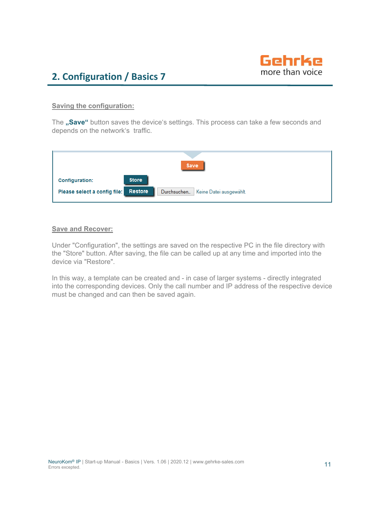

### **Saving the configuration:**

The "Save" button saves the device's settings. This process can take a few seconds and depends on the network's traffic.

| Save                         |                                                          |  |
|------------------------------|----------------------------------------------------------|--|
| Configuration:               | <b>Store</b>                                             |  |
| Please select a config file: | <b>Restore</b><br>Durchsuchen<br>Keine Datei ausgewählt. |  |

### **Save and Recover:**

Under "Configuration", the settings are saved on the respective PC in the file directory with the "Store" button. After saving, the file can be called up at any time and imported into the device via "Restore".

In this way, a template can be created and - in case of larger systems - directly integrated into the corresponding devices. Only the call number and IP address of the respective device must be changed and can then be saved again.